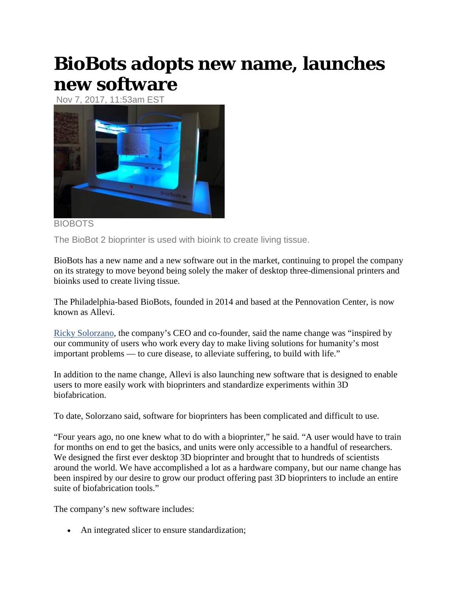## **BioBots adopts new name, launches new software**

Nov 7, 2017, 11:53am EST



## BIOBOTS

The BioBot 2 bioprinter is used with bioink to create living tissue.

BioBots has a new name and a new software out in the market, continuing to propel the company on its strategy to move beyond being solely the maker of desktop three-dimensional printers and bioinks used to create living tissue.

The Philadelphia-based BioBots, founded in 2014 and based at the Pennovation Center, is now known as Allevi.

[Ricky Solorzano,](https://www.bizjournals.com/philadelphia/search/results?q=Ricky%20Solorzano) the company's CEO and co-founder, said the name change was "inspired by our community of users who work every day to make living solutions for humanity's most important problems — to cure disease, to alleviate suffering, to build with life."

In addition to the name change, Allevi is also launching new software that is designed to enable users to more easily work with bioprinters and standardize experiments within 3D biofabrication.

To date, Solorzano said, software for bioprinters has been complicated and difficult to use.

"Four years ago, no one knew what to do with a bioprinter," he said. "A user would have to train for months on end to get the basics, and units were only accessible to a handful of researchers. We designed the first ever desktop 3D bioprinter and brought that to hundreds of scientists around the world. We have accomplished a lot as a hardware company, but our name change has been inspired by our desire to grow our product offering past 3D bioprinters to include an entire suite of biofabrication tools."

The company's new software includes:

• An integrated slicer to ensure standardization;